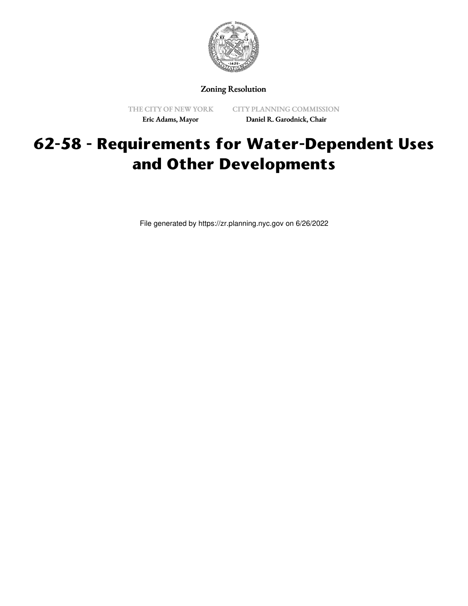

Zoning Resolution

THE CITY OF NEW YORK Eric Adams, Mayor

CITY PLANNING COMMISSION Daniel R. Garodnick, Chair

## **62-58 - Requirements for Water-Dependent Uses and Other Developments**

File generated by https://zr.planning.nyc.gov on 6/26/2022